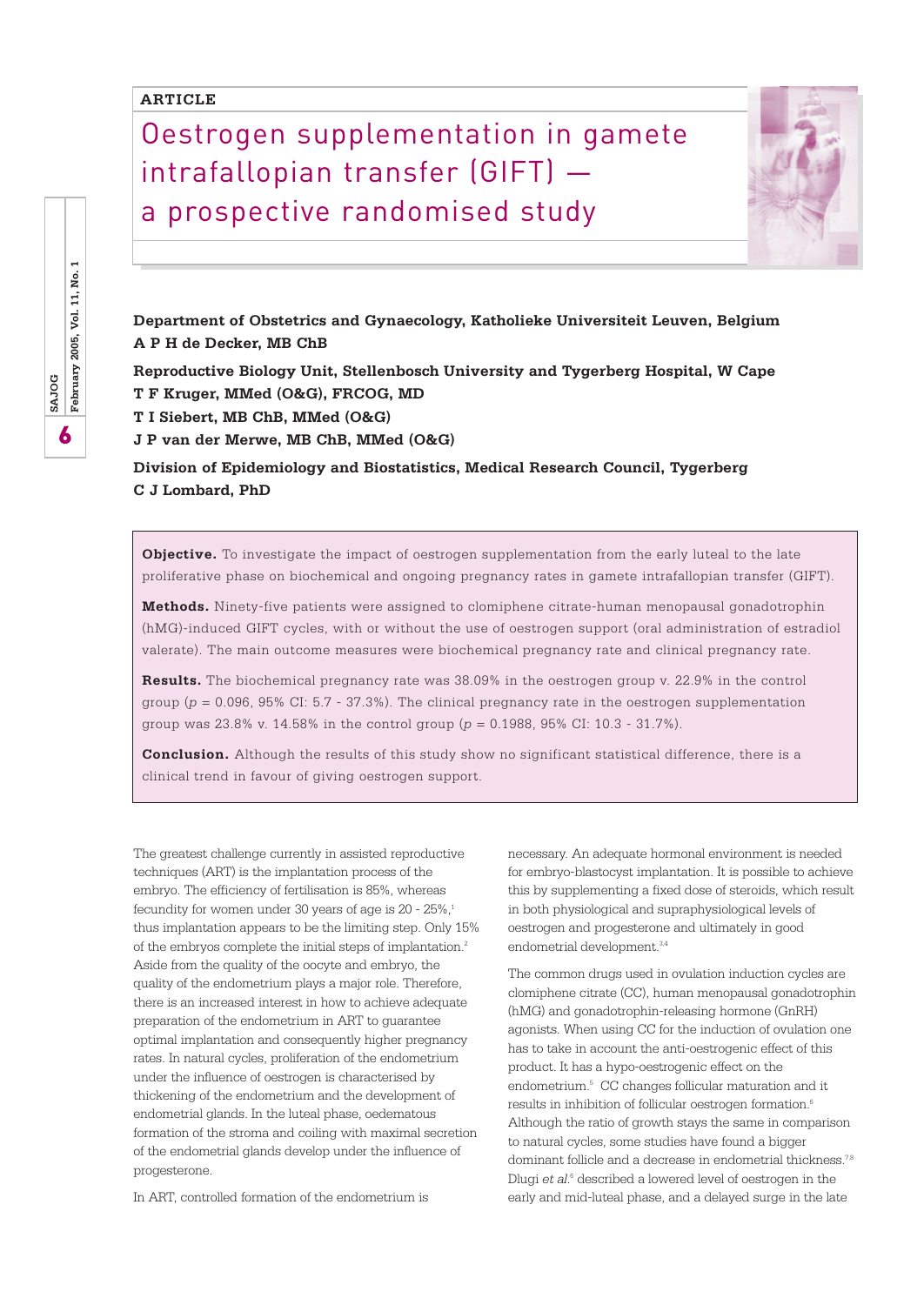#### **ARTICLE**

# Oestrogen supplementation in gamete intrafallopian transfer (GIFT) a prospective randomised study



**Department of Obstetrics and Gynaecology, Katholieke Universiteit Leuven, Belgium A P H de Decker, MB ChB**

**Reproductive Biology Unit, Stellenbosch University and Tygerberg Hospital, W Cape T F Kruger, MMed (O&G), FRCOG, MD**

**T I Siebert, MB ChB, MMed (O&G)**

**J P van der Merwe, MB ChB, MMed (O&G)** 

**Division of Epidemiology and Biostatistics, Medical Research Council, Tygerberg C J Lombard, PhD**

**Objective.** To investigate the impact of oestrogen supplementation from the early luteal to the late proliferative phase on biochemical and ongoing pregnancy rates in gamete intrafallopian transfer (GIFT).

**Methods.** Ninety-five patients were assigned to clomiphene citrate-human menopausal gonadotrophin (hMG)-induced GIFT cycles, with or without the use of oestrogen support (oral administration of estradiol valerate). The main outcome measures were biochemical pregnancy rate and clinical pregnancy rate.

**Results.** The biochemical pregnancy rate was 38.09% in the oestrogen group v. 22.9% in the control group ( $p = 0.096$ , 95% CI: 5.7 - 37.3%). The clinical pregnancy rate in the oestrogen supplementation group was 23.8% v. 14.58% in the control group (*p* = 0.1988, 95% CI: 10.3 - 31.7%).

**Conclusion.** Although the results of this study show no significant statistical difference, there is a clinical trend in favour of giving oestrogen support.

The greatest challenge currently in assisted reproductive techniques (ART) is the implantation process of the embryo. The efficiency of fertilisation is 85%, whereas fecundity for women under 30 years of age is  $20 - 25\%$ ,<sup>1</sup> thus implantation appears to be the limiting step. Only 15% of the embryos complete the initial steps of implantation.2 Aside from the quality of the oocyte and embryo, the quality of the endometrium plays a major role. Therefore, there is an increased interest in how to achieve adequate preparation of the endometrium in ART to guarantee optimal implantation and consequently higher pregnancy rates. In natural cycles, proliferation of the endometrium under the influence of oestrogen is characterised by thickening of the endometrium and the development of endometrial glands. In the luteal phase, oedematous formation of the stroma and coiling with maximal secretion of the endometrial glands develop under the influence of progesterone.

In ART, controlled formation of the endometrium is

necessary. An adequate hormonal environment is needed for embryo-blastocyst implantation. It is possible to achieve this by supplementing a fixed dose of steroids, which result in both physiological and supraphysiological levels of oestrogen and progesterone and ultimately in good endometrial development.<sup>3,4</sup>

The common drugs used in ovulation induction cycles are clomiphene citrate (CC), human menopausal gonadotrophin (hMG) and gonadotrophin-releasing hormone (GnRH) agonists. When using CC for the induction of ovulation one has to take in account the anti-oestrogenic effect of this product. It has a hypo-oestrogenic effect on the endometrium.5 CC changes follicular maturation and it results in inhibition of follicular oestrogen formation.6 Although the ratio of growth stays the same in comparison to natural cycles, some studies have found a bigger dominant follicle and a decrease in endometrial thickness.<sup>7,8</sup> Dlugi *et al*. <sup>6</sup> described a lowered level of oestrogen in the early and mid-luteal phase, and a delayed surge in the late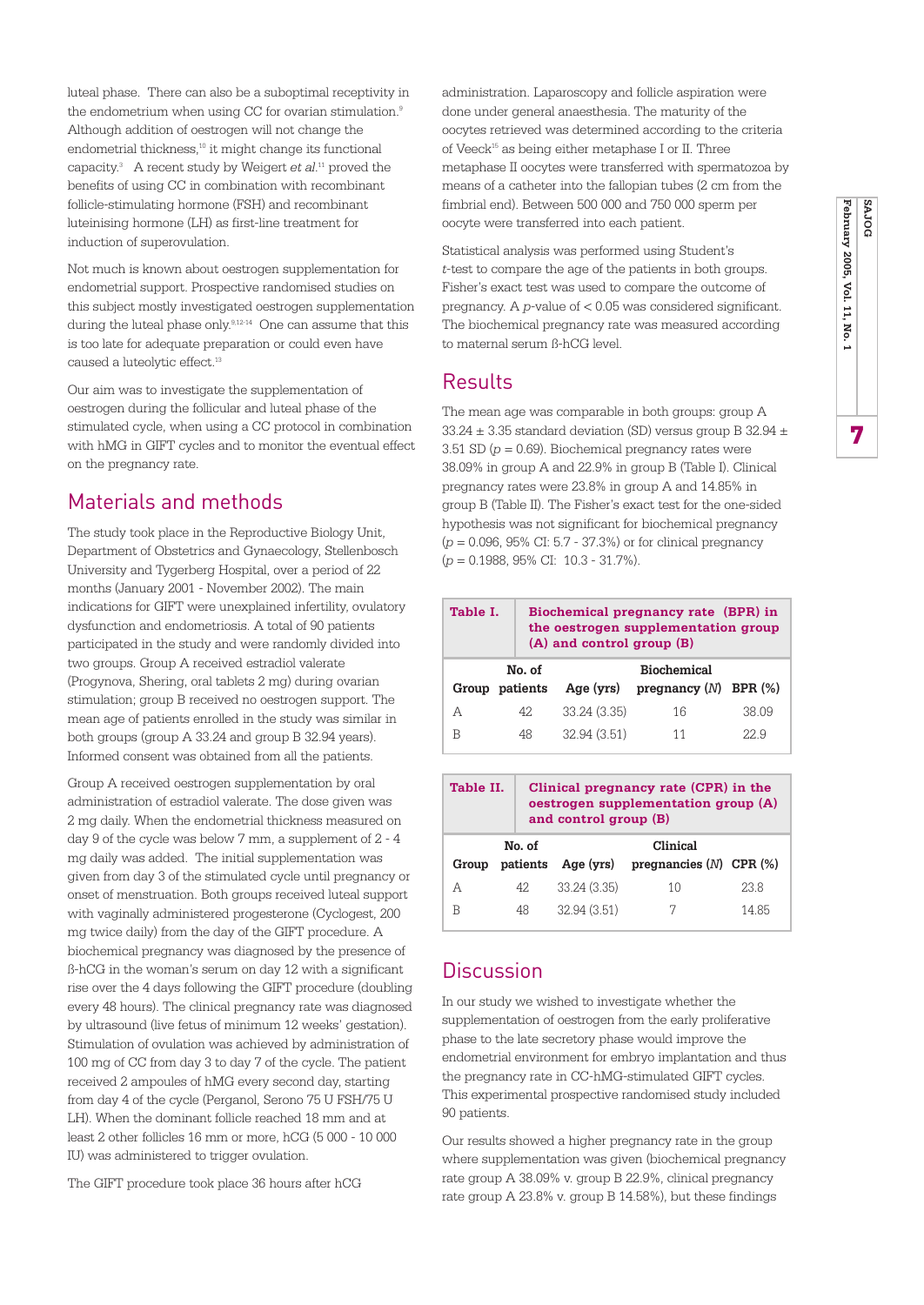luteal phase. There can also be a suboptimal receptivity in the endometrium when using CC for ovarian stimulation.<sup>9</sup> Although addition of oestrogen will not change the endometrial thickness,<sup>10</sup> it might change its functional capacity.3 A recent study by Weigert *et al*. <sup>11</sup> proved the benefits of using CC in combination with recombinant follicle-stimulating hormone (FSH) and recombinant luteinising hormone (LH) as first-line treatment for induction of superovulation.

Not much is known about oestrogen supplementation for endometrial support. Prospective randomised studies on this subject mostly investigated oestrogen supplementation during the luteal phase only.<sup>9,12-14</sup> One can assume that this is too late for adequate preparation or could even have caused a luteolytic effect.<sup>13</sup>

Our aim was to investigate the supplementation of oestrogen during the follicular and luteal phase of the stimulated cycle, when using a CC protocol in combination with hMG in GIFT cycles and to monitor the eventual effect on the pregnancy rate.

### Materials and methods

The study took place in the Reproductive Biology Unit, Department of Obstetrics and Gynaecology, Stellenbosch University and Tygerberg Hospital, over a period of 22 months (January 2001 - November 2002). The main indications for GIFT were unexplained infertility, ovulatory dysfunction and endometriosis. A total of 90 patients participated in the study and were randomly divided into two groups. Group A received estradiol valerate (Progynova, Shering, oral tablets 2 mg) during ovarian stimulation; group B received no oestrogen support. The mean age of patients enrolled in the study was similar in both groups (group A 33.24 and group B 32.94 years). Informed consent was obtained from all the patients.

Group A received oestrogen supplementation by oral administration of estradiol valerate. The dose given was 2 mg daily. When the endometrial thickness measured on day 9 of the cycle was below 7 mm, a supplement of 2 - 4 mg daily was added. The initial supplementation was given from day 3 of the stimulated cycle until pregnancy or onset of menstruation. Both groups received luteal support with vaginally administered progesterone (Cyclogest, 200 mg twice daily) from the day of the GIFT procedure. A biochemical pregnancy was diagnosed by the presence of ß-hCG in the woman's serum on day 12 with a significant rise over the 4 days following the GIFT procedure (doubling every 48 hours). The clinical pregnancy rate was diagnosed by ultrasound (live fetus of minimum 12 weeks' gestation). Stimulation of ovulation was achieved by administration of 100 mg of CC from day 3 to day 7 of the cycle. The patient received 2 ampoules of hMG every second day, starting from day 4 of the cycle (Perganol, Serono 75 U FSH/75 U LH). When the dominant follicle reached 18 mm and at least 2 other follicles 16 mm or more, hCG (5 000 - 10 000 IU) was administered to trigger ovulation.

The GIFT procedure took place 36 hours after hCG

administration. Laparoscopy and follicle aspiration were done under general anaesthesia. The maturity of the oocytes retrieved was determined according to the criteria of Veeck<sup>15</sup> as being either metaphase I or II. Three metaphase II oocytes were transferred with spermatozoa by means of a catheter into the fallopian tubes (2 cm from the fimbrial end). Between 500 000 and 750 000 sperm per oocyte were transferred into each patient.

Statistical analysis was performed using Student's *t*-test to compare the age of the patients in both groups. Fisher's exact test was used to compare the outcome of pregnancy. A *p*-value of < 0.05 was considered significant. The biochemical pregnancy rate was measured according to maternal serum ß-hCG level.

#### Results

The mean age was comparable in both groups: group A  $33.24 \pm 3.35$  standard deviation (SD) versus group B 32.94  $\pm$ 3.51 SD  $(p = 0.69)$ . Biochemical pregnancy rates were 38.09% in group A and 22.9% in group B (Table I). Clinical pregnancy rates were 23.8% in group A and 14.85% in group B (Table II). The Fisher's exact test for the one-sided hypothesis was not significant for biochemical pregnancy (*p* = 0.096, 95% CI: 5.7 - 37.3%) or for clinical pregnancy (*p* = 0.1988, 95% CI: 10.3 - 31.7%).

| Table I. |                    | Biochemical pregnancy rate (BPR) in<br>the oestrogen supplementation group<br>$(A)$ and control group $(B)$ |                                                  |       |  |
|----------|--------------------|-------------------------------------------------------------------------------------------------------------|--------------------------------------------------|-------|--|
| Group    | No. of<br>patients | Age (yrs)                                                                                                   | <b>Biochemical</b><br>pregnancy $(N)$ BPR $(\%)$ |       |  |
| А        | 42.                | 33.24 (3.35)                                                                                                | 16                                               | 38.09 |  |
| R        | 48                 | 32.94 (3.51)                                                                                                | 11                                               | 22.9  |  |

| Table II. |          | Clinical pregnancy rate (CPR) in the<br>oestrogen supplementation group (A)<br>and control group (B) |                              |       |  |
|-----------|----------|------------------------------------------------------------------------------------------------------|------------------------------|-------|--|
| No. of    |          |                                                                                                      | Clinical                     |       |  |
| Group     | patients | Age (yrs)                                                                                            | pregnancies $(N)$ CPR $(\%)$ |       |  |
| А         | 42.      | 33.24 (3.35)                                                                                         | 10                           | 238   |  |
|           |          | 32.94 (3.51)                                                                                         |                              | 14 85 |  |

## **Discussion**

In our study we wished to investigate whether the supplementation of oestrogen from the early proliferative phase to the late secretory phase would improve the endometrial environment for embryo implantation and thus the pregnancy rate in CC-hMG-stimulated GIFT cycles. This experimental prospective randomised study included 90 patients.

Our results showed a higher pregnancy rate in the group where supplementation was given (biochemical pregnancy rate group A 38.09% v. group B 22.9%, clinical pregnancy rate group A 23.8% v. group B 14.58%), but these findings